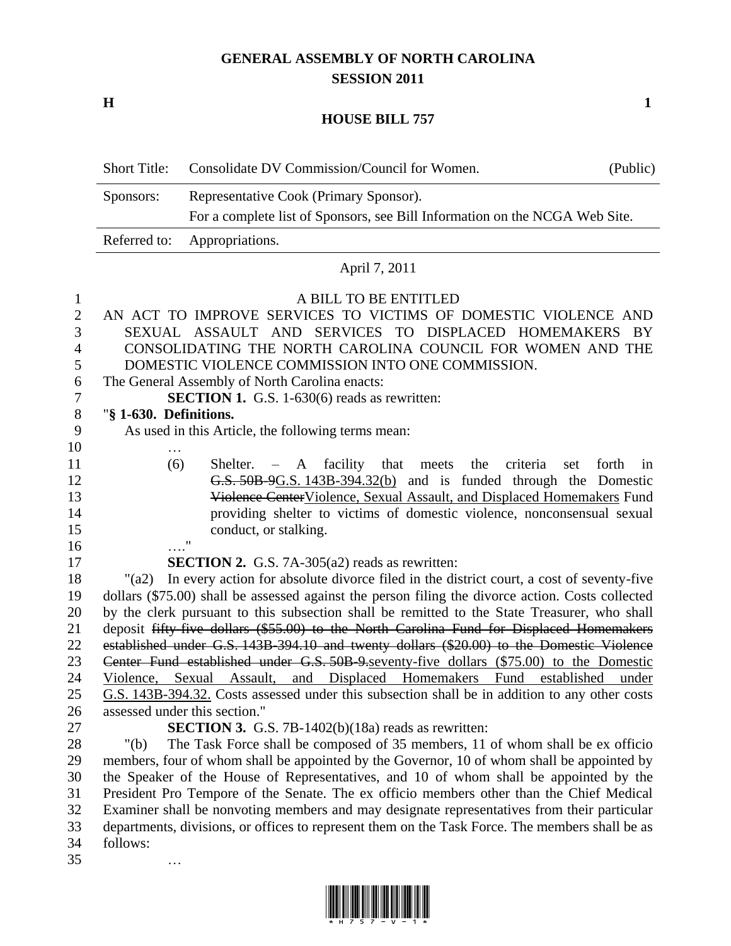# **GENERAL ASSEMBLY OF NORTH CAROLINA SESSION 2011**

**H 1**

## **HOUSE BILL 757**

| Short Title: | Consolidate DV Commission/Council for Women.                                | (Public) |
|--------------|-----------------------------------------------------------------------------|----------|
| Sponsors:    | Representative Cook (Primary Sponsor).                                      |          |
|              | For a complete list of Sponsors, see Bill Information on the NCGA Web Site. |          |
|              | Referred to: Appropriations.                                                |          |

### April 7, 2011

#### A BILL TO BE ENTITLED

- AN ACT TO IMPROVE SERVICES TO VICTIMS OF DOMESTIC VIOLENCE AND SEXUAL ASSAULT AND SERVICES TO DISPLACED HOMEMAKERS BY CONSOLIDATING THE NORTH CAROLINA COUNCIL FOR WOMEN AND THE DOMESTIC VIOLENCE COMMISSION INTO ONE COMMISSION.
- The General Assembly of North Carolina enacts:
- **SECTION 1.** G.S. 1-630(6) reads as rewritten:

# "**§ 1-630. Definitions.**

…

…

- As used in this Article, the following terms mean:
- (6) Shelter. A facility that meets the criteria set forth in G.S. 50B-9G.S. 143B-394.32(b) and is funded through the Domestic Violence CenterViolence, Sexual Assault, and Displaced Homemakers Fund providing shelter to victims of domestic violence, nonconsensual sexual 15 conduct, or stalking. …."

**SECTION 2.** G.S. 7A-305(a2) reads as rewritten:

 "(a2) In every action for absolute divorce filed in the district court, a cost of seventy-five dollars (\$75.00) shall be assessed against the person filing the divorce action. Costs collected by the clerk pursuant to this subsection shall be remitted to the State Treasurer, who shall deposit fifty-five dollars (\$55.00) to the North Carolina Fund for Displaced Homemakers established under G.S. 143B-394.10 and twenty dollars (\$20.00) to the Domestic Violence Center Fund established under G.S. 50B-9.seventy-five dollars (\$75.00) to the Domestic Violence, Sexual Assault, and Displaced Homemakers Fund established under G.S. 143B-394.32. Costs assessed under this subsection shall be in addition to any other costs assessed under this section."

**SECTION 3.** G.S. 7B-1402(b)(18a) reads as rewritten:

 "(b) The Task Force shall be composed of 35 members, 11 of whom shall be ex officio members, four of whom shall be appointed by the Governor, 10 of whom shall be appointed by the Speaker of the House of Representatives, and 10 of whom shall be appointed by the President Pro Tempore of the Senate. The ex officio members other than the Chief Medical Examiner shall be nonvoting members and may designate representatives from their particular departments, divisions, or offices to represent them on the Task Force. The members shall be as follows:

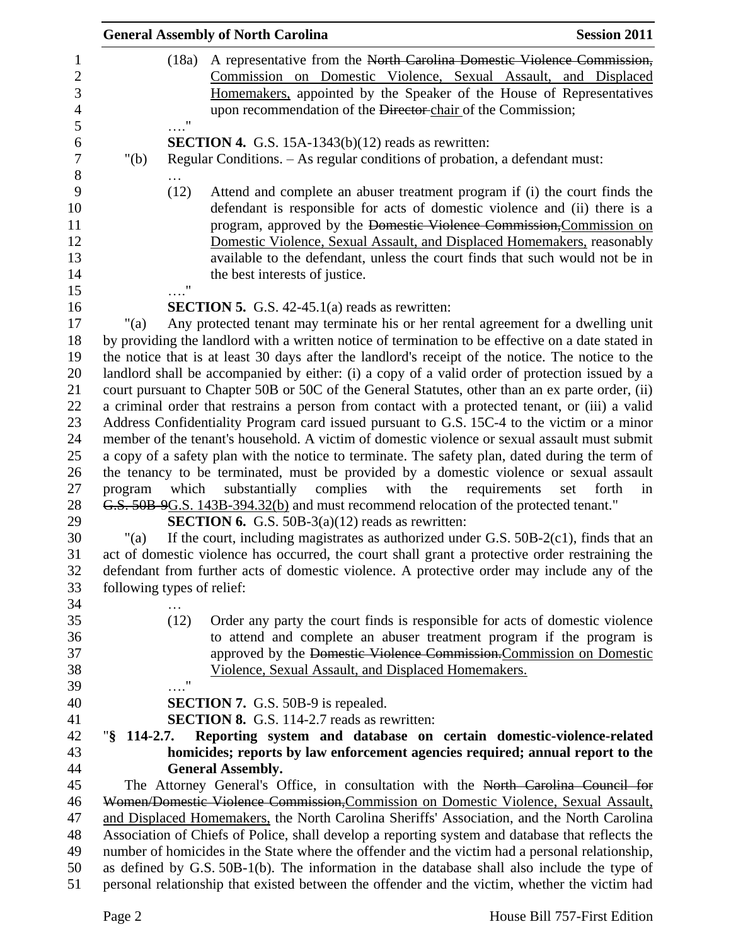|                     |                            | <b>General Assembly of North Carolina</b>                                                          | <b>Session 2011</b>                |
|---------------------|----------------------------|----------------------------------------------------------------------------------------------------|------------------------------------|
|                     | (18a)                      | A representative from the North Carolina Domestic Violence Commission,                             |                                    |
|                     |                            | Commission on Domestic Violence, Sexual Assault, and Displaced                                     |                                    |
|                     |                            | Homemakers, appointed by the Speaker of the House of Representatives                               |                                    |
|                     | $\ldots$ "                 | upon recommendation of the Director-chair of the Commission;                                       |                                    |
|                     |                            | <b>SECTION 4.</b> G.S. 15A-1343(b) $(12)$ reads as rewritten:                                      |                                    |
| " $(b)$             |                            | Regular Conditions. - As regular conditions of probation, a defendant must:                        |                                    |
|                     | (12)                       | Attend and complete an abuser treatment program if (i) the court finds the                         |                                    |
|                     |                            | defendant is responsible for acts of domestic violence and (ii) there is a                         |                                    |
|                     |                            | program, approved by the Domestic Violence Commission, Commission on                               |                                    |
|                     |                            | Domestic Violence, Sexual Assault, and Displaced Homemakers, reasonably                            |                                    |
|                     |                            | available to the defendant, unless the court finds that such would not be in                       |                                    |
|                     |                            | the best interests of justice.                                                                     |                                    |
|                     | 11                         |                                                                                                    |                                    |
|                     |                            | <b>SECTION 5.</b> G.S. $42-45.1(a)$ reads as rewritten:                                            |                                    |
| "(a)                |                            | Any protected tenant may terminate his or her rental agreement for a dwelling unit                 |                                    |
|                     |                            | by providing the landlord with a written notice of termination to be effective on a date stated in |                                    |
|                     |                            | the notice that is at least 30 days after the landlord's receipt of the notice. The notice to the  |                                    |
|                     |                            | landlord shall be accompanied by either: (i) a copy of a valid order of protection issued by a     |                                    |
|                     |                            | court pursuant to Chapter 50B or 50C of the General Statutes, other than an ex parte order, (ii)   |                                    |
|                     |                            | a criminal order that restrains a person from contact with a protected tenant, or (iii) a valid    |                                    |
|                     |                            | Address Confidentiality Program card issued pursuant to G.S. 15C-4 to the victim or a minor        |                                    |
|                     |                            | member of the tenant's household. A victim of domestic violence or sexual assault must submit      |                                    |
|                     |                            | a copy of a safety plan with the notice to terminate. The safety plan, dated during the term of    |                                    |
|                     |                            | the tenancy to be terminated, must be provided by a domestic violence or sexual assault            |                                    |
| program             | which                      | complies<br>with<br>substantially<br>the                                                           | requirements<br>set<br>forth<br>in |
|                     |                            | G.S. 50B 9G.S. 143B-394.32(b) and must recommend relocation of the protected tenant."              |                                    |
|                     |                            | <b>SECTION 6.</b> G.S. 50B-3(a)(12) reads as rewritten:                                            |                                    |
| " $(a)$             |                            | If the court, including magistrates as authorized under G.S. 50B-2(c1), finds that an              |                                    |
|                     |                            | act of domestic violence has occurred, the court shall grant a protective order restraining the    |                                    |
|                     |                            | defendant from further acts of domestic violence. A protective order may include any of the        |                                    |
|                     | following types of relief: |                                                                                                    |                                    |
|                     |                            |                                                                                                    |                                    |
|                     | (12)                       | Order any party the court finds is responsible for acts of domestic violence                       |                                    |
|                     |                            | to attend and complete an abuser treatment program if the program is                               |                                    |
|                     |                            | approved by the Domestic Violence Commission. Commission on Domestic                               |                                    |
|                     |                            | Violence, Sexual Assault, and Displaced Homemakers.                                                |                                    |
|                     | $\pmb{\mathsf{H}}$         |                                                                                                    |                                    |
|                     |                            | <b>SECTION 7.</b> G.S. 50B-9 is repealed.                                                          |                                    |
|                     |                            | <b>SECTION 8.</b> G.S. 114-2.7 reads as rewritten:                                                 |                                    |
| $\sqrt{8}$ 114-2.7. |                            | Reporting system and database on certain domestic-violence-related                                 |                                    |
|                     |                            | homicides; reports by law enforcement agencies required; annual report to the                      |                                    |
|                     |                            | <b>General Assembly.</b>                                                                           |                                    |
|                     |                            | The Attorney General's Office, in consultation with the North Carolina Council for                 |                                    |
|                     |                            | Women/Domestic Violence Commission, Commission on Domestic Violence, Sexual Assault,               |                                    |
|                     |                            | and Displaced Homemakers, the North Carolina Sheriffs' Association, and the North Carolina         |                                    |
|                     |                            | Association of Chiefs of Police, shall develop a reporting system and database that reflects the   |                                    |
|                     |                            | number of homicides in the State where the offender and the victim had a personal relationship,    |                                    |
|                     |                            | as defined by G.S. 50B-1(b). The information in the database shall also include the type of        |                                    |
|                     |                            | personal relationship that existed between the offender and the victim, whether the victim had     |                                    |
|                     |                            |                                                                                                    |                                    |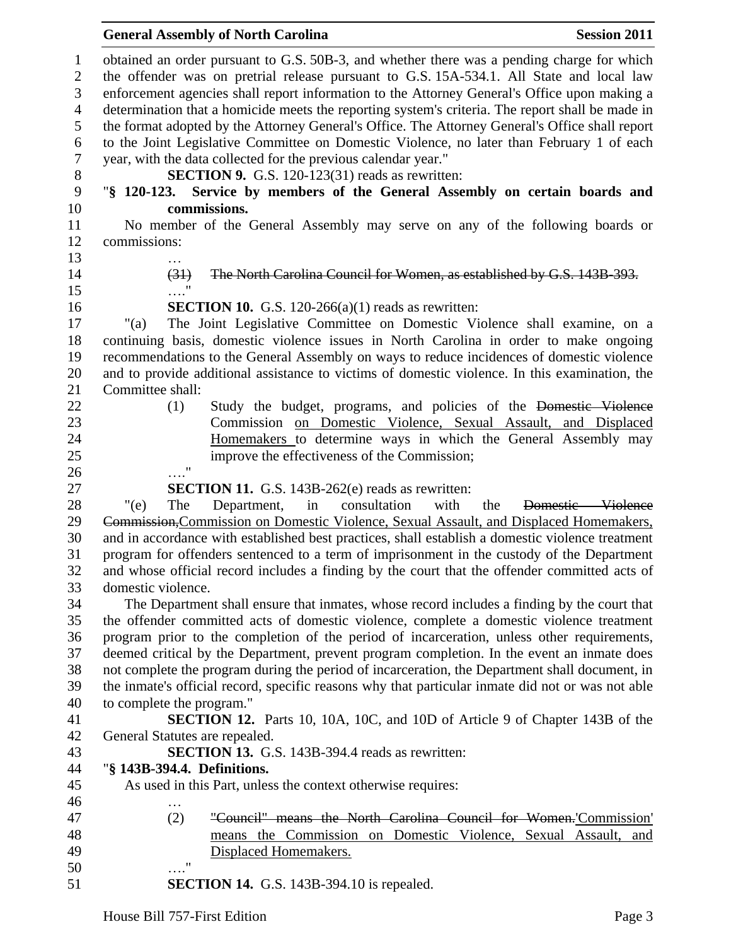### **General Assembly of North Carolina Session 2011**

 obtained an order pursuant to G.S. 50B-3, and whether there was a pending charge for which the offender was on pretrial release pursuant to G.S. 15A-534.1. All State and local law enforcement agencies shall report information to the Attorney General's Office upon making a determination that a homicide meets the reporting system's criteria. The report shall be made in the format adopted by the Attorney General's Office. The Attorney General's Office shall report to the Joint Legislative Committee on Domestic Violence, no later than February 1 of each year, with the data collected for the previous calendar year." **SECTION 9.** G.S. 120-123(31) reads as rewritten: "**§ 120-123. Service by members of the General Assembly on certain boards and commissions.** No member of the General Assembly may serve on any of the following boards or commissions: … (31) The North Carolina Council for Women, as established by G.S. 143B-393. …." **SECTION 10.** G.S. 120-266(a)(1) reads as rewritten: "(a) The Joint Legislative Committee on Domestic Violence shall examine, on a continuing basis, domestic violence issues in North Carolina in order to make ongoing recommendations to the General Assembly on ways to reduce incidences of domestic violence and to provide additional assistance to victims of domestic violence. In this examination, the Committee shall: (1) Study the budget, programs, and policies of the Domestic Violence Commission on Domestic Violence, Sexual Assault, and Displaced Homemakers to determine ways in which the General Assembly may improve the effectiveness of the Commission; …." **SECTION 11.** G.S. 143B-262(e) reads as rewritten: "(e) The Department, in consultation with the Domestic Violence Commission,Commission on Domestic Violence, Sexual Assault, and Displaced Homemakers, and in accordance with established best practices, shall establish a domestic violence treatment program for offenders sentenced to a term of imprisonment in the custody of the Department and whose official record includes a finding by the court that the offender committed acts of domestic violence. The Department shall ensure that inmates, whose record includes a finding by the court that the offender committed acts of domestic violence, complete a domestic violence treatment program prior to the completion of the period of incarceration, unless other requirements, deemed critical by the Department, prevent program completion. In the event an inmate does not complete the program during the period of incarceration, the Department shall document, in the inmate's official record, specific reasons why that particular inmate did not or was not able to complete the program." **SECTION 12.** Parts 10, 10A, 10C, and 10D of Article 9 of Chapter 143B of the General Statutes are repealed. **SECTION 13.** G.S. 143B-394.4 reads as rewritten: "**§ 143B-394.4. Definitions.** As used in this Part, unless the context otherwise requires: … (2) "Council" means the North Carolina Council for Women.'Commission' means the Commission on Domestic Violence, Sexual Assault, and Displaced Homemakers. …." **SECTION 14.** G.S. 143B-394.10 is repealed.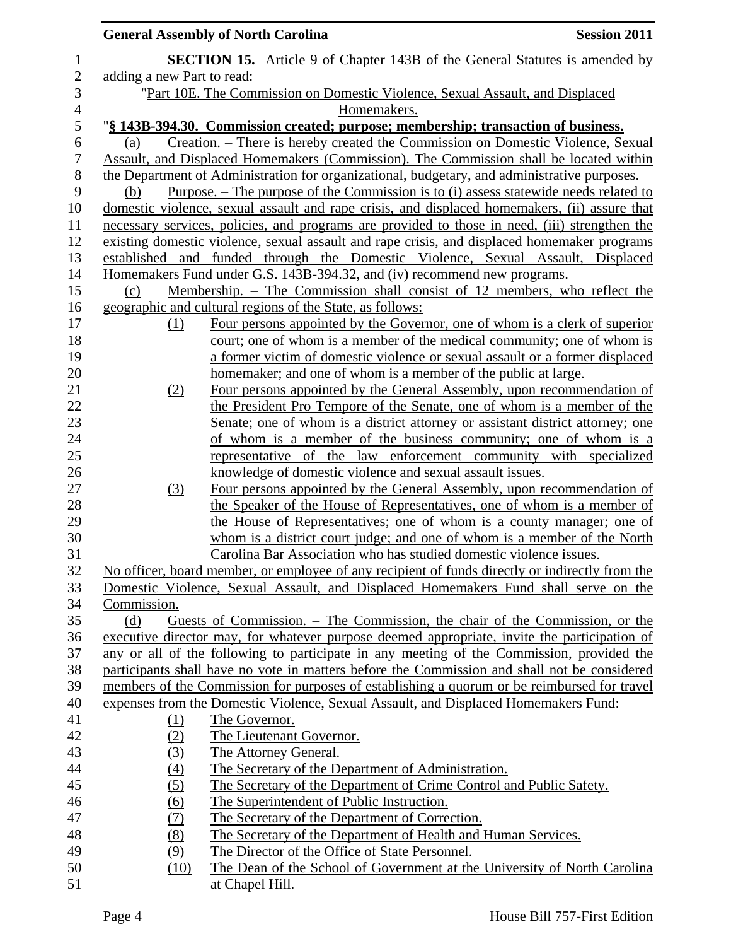|                |                            | <b>General Assembly of North Carolina</b>                                                                                                                                              | <b>Session 2011</b> |
|----------------|----------------------------|----------------------------------------------------------------------------------------------------------------------------------------------------------------------------------------|---------------------|
| $\mathbf 1$    |                            | <b>SECTION 15.</b> Article 9 of Chapter 143B of the General Statutes is amended by                                                                                                     |                     |
| $\overline{2}$ | adding a new Part to read: |                                                                                                                                                                                        |                     |
| 3              |                            | "Part 10E. The Commission on Domestic Violence, Sexual Assault, and Displaced                                                                                                          |                     |
| $\overline{4}$ |                            | Homemakers.                                                                                                                                                                            |                     |
| 5              |                            | "§ 143B-394.30. Commission created; purpose; membership; transaction of business.                                                                                                      |                     |
| 6              | (a)                        | Creation. – There is hereby created the Commission on Domestic Violence, Sexual                                                                                                        |                     |
| 7              |                            | Assault, and Displaced Homemakers (Commission). The Commission shall be located within                                                                                                 |                     |
| 8              |                            | the Department of Administration for organizational, budgetary, and administrative purposes.                                                                                           |                     |
| 9              | (b)                        | <u>Purpose. – The purpose of the Commission is to (i) assess statewide needs related to</u>                                                                                            |                     |
| 10             |                            | domestic violence, sexual assault and rape crisis, and displaced homemakers, (ii) assure that                                                                                          |                     |
| 11             |                            | necessary services, policies, and programs are provided to those in need, (iii) strengthen the                                                                                         |                     |
| 12             |                            | existing domestic violence, sexual assault and rape crisis, and displaced homemaker programs                                                                                           |                     |
| 13             | established and            | funded through the Domestic Violence, Sexual Assault, Displaced                                                                                                                        |                     |
| 14             |                            | Homemakers Fund under G.S. 143B-394.32, and (iv) recommend new programs.                                                                                                               |                     |
| 15             | (c)                        | Membership. – The Commission shall consist of 12 members, who reflect the                                                                                                              |                     |
| 16             |                            | geographic and cultural regions of the State, as follows:                                                                                                                              |                     |
| 17             | (1)                        | Four persons appointed by the Governor, one of whom is a clerk of superior                                                                                                             |                     |
| 18             |                            | court; one of whom is a member of the medical community; one of whom is                                                                                                                |                     |
| 19             |                            | a former victim of domestic violence or sexual assault or a former displaced                                                                                                           |                     |
| 20             |                            | homemaker; and one of whom is a member of the public at large.                                                                                                                         |                     |
| 21             | (2)                        | Four persons appointed by the General Assembly, upon recommendation of                                                                                                                 |                     |
| 22             |                            | the President Pro Tempore of the Senate, one of whom is a member of the                                                                                                                |                     |
| 23             |                            | Senate; one of whom is a district attorney or assistant district attorney; one                                                                                                         |                     |
| 24             |                            | of whom is a member of the business community; one of whom is a                                                                                                                        |                     |
| 25             |                            | representative of the law enforcement community with specialized                                                                                                                       |                     |
| 26             |                            | knowledge of domestic violence and sexual assault issues.                                                                                                                              |                     |
| 27             | (3)                        | Four persons appointed by the General Assembly, upon recommendation of                                                                                                                 |                     |
| 28             |                            | the Speaker of the House of Representatives, one of whom is a member of                                                                                                                |                     |
| 29             |                            | the House of Representatives; one of whom is a county manager; one of                                                                                                                  |                     |
| 30             |                            | whom is a district court judge; and one of whom is a member of the North                                                                                                               |                     |
| 31<br>32       |                            | Carolina Bar Association who has studied domestic violence issues.                                                                                                                     |                     |
| 33             |                            | No officer, board member, or employee of any recipient of funds directly or indirectly from the<br>Domestic Violence, Sexual Assault, and Displaced Homemakers Fund shall serve on the |                     |
| 34             | Commission.                |                                                                                                                                                                                        |                     |
| 35             | (d)                        | Guests of Commission. – The Commission, the chair of the Commission, or the                                                                                                            |                     |
| 36             |                            | executive director may, for whatever purpose deemed appropriate, invite the participation of                                                                                           |                     |
| 37             |                            | any or all of the following to participate in any meeting of the Commission, provided the                                                                                              |                     |
| 38             |                            | participants shall have no vote in matters before the Commission and shall not be considered                                                                                           |                     |
| 39             |                            | members of the Commission for purposes of establishing a quorum or be reimbursed for travel                                                                                            |                     |
| 40             |                            | expenses from the Domestic Violence, Sexual Assault, and Displaced Homemakers Fund:                                                                                                    |                     |
| 41             | <u>(1)</u>                 | The Governor.                                                                                                                                                                          |                     |
| 42             | (2)                        | The Lieutenant Governor.                                                                                                                                                               |                     |
| 43             | (3)                        | The Attorney General.                                                                                                                                                                  |                     |
| 44             | (4)                        | The Secretary of the Department of Administration.                                                                                                                                     |                     |
| 45             | (5)                        | The Secretary of the Department of Crime Control and Public Safety.                                                                                                                    |                     |
| 46             | (6)                        | The Superintendent of Public Instruction.                                                                                                                                              |                     |
| 47             | (7)                        | The Secretary of the Department of Correction.                                                                                                                                         |                     |
| 48             | (8)                        | The Secretary of the Department of Health and Human Services.                                                                                                                          |                     |
| 49             | (9)                        | The Director of the Office of State Personnel.                                                                                                                                         |                     |
| 50             | (10)                       | The Dean of the School of Government at the University of North Carolina                                                                                                               |                     |
| 51             |                            | at Chapel Hill.                                                                                                                                                                        |                     |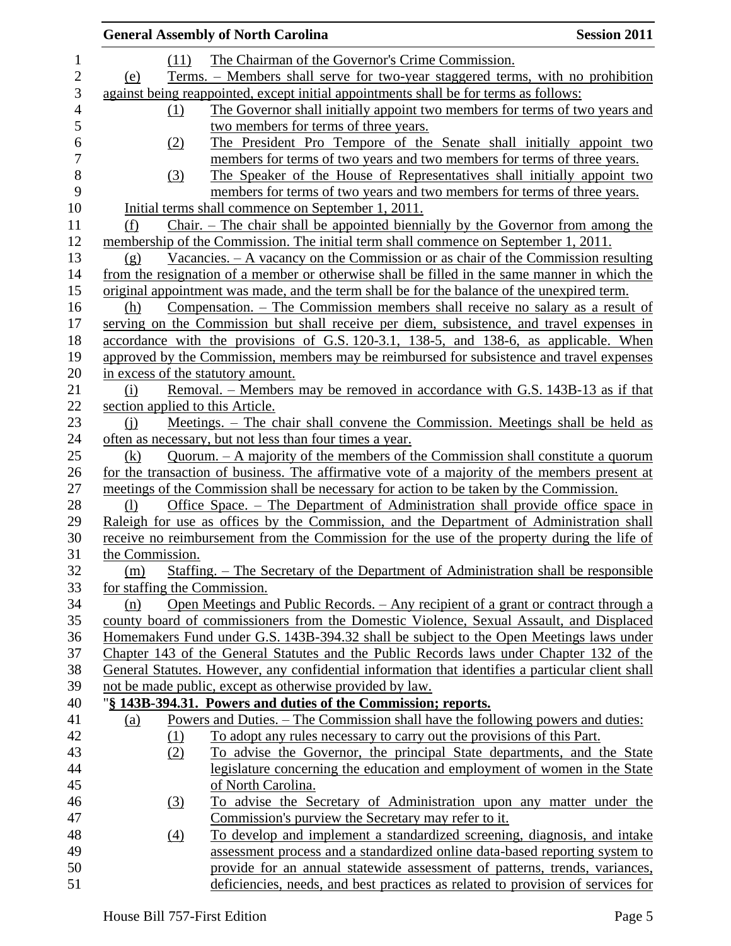|                                  | <b>General Assembly of North Carolina</b>                                                                                                                     | <b>Session 2011</b> |
|----------------------------------|---------------------------------------------------------------------------------------------------------------------------------------------------------------|---------------------|
| (11)                             | The Chairman of the Governor's Crime Commission.                                                                                                              |                     |
| (e)                              | Terms. – Members shall serve for two-year staggered terms, with no prohibition                                                                                |                     |
|                                  | against being reappointed, except initial appointments shall be for terms as follows:                                                                         |                     |
| (1)                              | The Governor shall initially appoint two members for terms of two years and                                                                                   |                     |
|                                  | two members for terms of three years.                                                                                                                         |                     |
| (2)                              | The President Pro Tempore of the Senate shall initially appoint two                                                                                           |                     |
|                                  | members for terms of two years and two members for terms of three years.                                                                                      |                     |
| (3)                              | The Speaker of the House of Representatives shall initially appoint two                                                                                       |                     |
|                                  | members for terms of two years and two members for terms of three years.                                                                                      |                     |
|                                  | Initial terms shall commence on September 1, 2011.                                                                                                            |                     |
| (f)                              | $Chain$ . - The chair shall be appointed biennially by the Governor from among the                                                                            |                     |
|                                  | membership of the Commission. The initial term shall commence on September 1, 2011.                                                                           |                     |
| (g)                              | Vacancies. $-$ A vacancy on the Commission or as chair of the Commission resulting                                                                            |                     |
|                                  | from the resignation of a member or otherwise shall be filled in the same manner in which the                                                                 |                     |
|                                  | original appointment was made, and the term shall be for the balance of the unexpired term.                                                                   |                     |
| (h)                              | Compensation. – The Commission members shall receive no salary as a result of                                                                                 |                     |
|                                  | serving on the Commission but shall receive per diem, subsistence, and travel expenses in                                                                     |                     |
|                                  | accordance with the provisions of G.S. 120-3.1, 138-5, and 138-6, as applicable. When                                                                         |                     |
|                                  | approved by the Commission, members may be reimbursed for subsistence and travel expenses                                                                     |                     |
|                                  | in excess of the statutory amount.                                                                                                                            |                     |
| (i)                              | Removal. – Members may be removed in accordance with G.S. 143B-13 as if that                                                                                  |                     |
| section applied to this Article. |                                                                                                                                                               |                     |
| (i)                              | Meetings. – The chair shall convene the Commission. Meetings shall be held as                                                                                 |                     |
|                                  | often as necessary, but not less than four times a year.                                                                                                      |                     |
| (k)                              | Quorum. - A majority of the members of the Commission shall constitute a quorum                                                                               |                     |
|                                  | for the transaction of business. The affirmative vote of a majority of the members present at                                                                 |                     |
|                                  | meetings of the Commission shall be necessary for action to be taken by the Commission.                                                                       |                     |
| $\left( \frac{1}{2} \right)$     | Office Space. – The Department of Administration shall provide office space in                                                                                |                     |
|                                  | Raleigh for use as offices by the Commission, and the Department of Administration shall                                                                      |                     |
|                                  | receive no reimbursement from the Commission for the use of the property during the life of                                                                   |                     |
| the Commission.                  |                                                                                                                                                               |                     |
| (m)                              | Staffing. – The Secretary of the Department of Administration shall be responsible                                                                            |                     |
| for staffing the Commission.     |                                                                                                                                                               |                     |
| (n)                              | Open Meetings and Public Records. - Any recipient of a grant or contract through a                                                                            |                     |
|                                  | county board of commissioners from the Domestic Violence, Sexual Assault, and Displaced                                                                       |                     |
|                                  | Homemakers Fund under G.S. 143B-394.32 shall be subject to the Open Meetings laws under                                                                       |                     |
|                                  | Chapter 143 of the General Statutes and the Public Records laws under Chapter 132 of the                                                                      |                     |
|                                  | General Statutes. However, any confidential information that identifies a particular client shall<br>not be made public, except as otherwise provided by law. |                     |
|                                  | "§ 143B-394.31. Powers and duties of the Commission; reports.                                                                                                 |                     |
| (a)                              | <u> Powers and Duties. – The Commission shall have the following powers and duties:</u>                                                                       |                     |
| (1)                              | To adopt any rules necessary to carry out the provisions of this Part.                                                                                        |                     |
| (2)                              | To advise the Governor, the principal State departments, and the State                                                                                        |                     |
|                                  | legislature concerning the education and employment of women in the State                                                                                     |                     |
|                                  | of North Carolina.                                                                                                                                            |                     |
| (3)                              | To advise the Secretary of Administration upon any matter under the                                                                                           |                     |
|                                  | Commission's purview the Secretary may refer to it.                                                                                                           |                     |
| $\underline{(4)}$                | To develop and implement a standardized screening, diagnosis, and intake                                                                                      |                     |
|                                  | assessment process and a standardized online data-based reporting system to                                                                                   |                     |
|                                  | provide for an annual statewide assessment of patterns, trends, variances,                                                                                    |                     |
|                                  | deficiencies, needs, and best practices as related to provision of services for                                                                               |                     |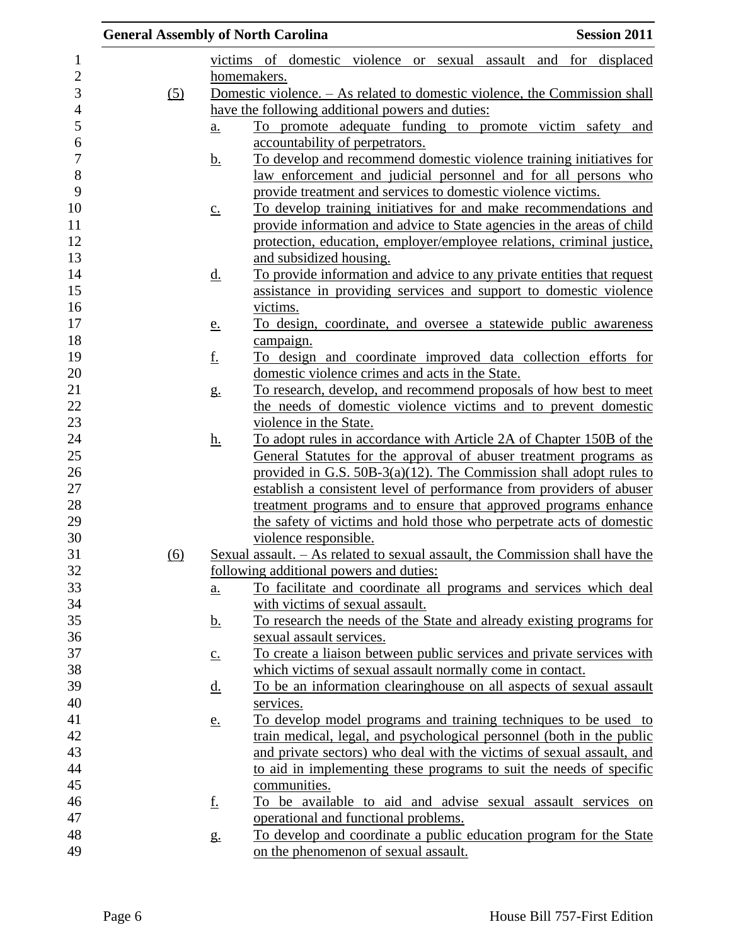|                  | <b>General Assembly of North Carolina</b> |                   |                                                                               | <b>Session 2011</b> |
|------------------|-------------------------------------------|-------------------|-------------------------------------------------------------------------------|---------------------|
| 1                |                                           |                   | victims of domestic violence or sexual assault and for displaced              |                     |
| $\overline{c}$   |                                           |                   | homemakers.                                                                   |                     |
| 3                | (5)                                       |                   | Domestic violence. - As related to domestic violence, the Commission shall    |                     |
| 4                |                                           |                   | have the following additional powers and duties:                              |                     |
| 5                |                                           | a.                | To promote adequate funding to promote victim safety and                      |                     |
| 6                |                                           |                   | accountability of perpetrators.                                               |                     |
| $\boldsymbol{7}$ |                                           | <u>b.</u>         | To develop and recommend domestic violence training initiatives for           |                     |
| 8                |                                           |                   | law enforcement and judicial personnel and for all persons who                |                     |
| 9                |                                           |                   | provide treatment and services to domestic violence victims.                  |                     |
| 10               |                                           | $\underline{c}$ . | To develop training initiatives for and make recommendations and              |                     |
| 11               |                                           |                   | provide information and advice to State agencies in the areas of child        |                     |
| 12               |                                           |                   | protection, education, employer/employee relations, criminal justice,         |                     |
| 13               |                                           |                   | and subsidized housing.                                                       |                     |
| 14               |                                           | <u>d.</u>         | To provide information and advice to any private entities that request        |                     |
| 15               |                                           |                   | assistance in providing services and support to domestic violence             |                     |
| 16               |                                           |                   | victims.                                                                      |                     |
| 17               |                                           | <u>e.</u>         | To design, coordinate, and oversee a statewide public awareness               |                     |
| 18               |                                           |                   | campaign.                                                                     |                     |
| 19               |                                           | <u>f.</u>         | <u>To design and coordinate improved data collection efforts for</u>          |                     |
| 20               |                                           |                   | domestic violence crimes and acts in the State.                               |                     |
| 21               |                                           | $g_{\cdot}$       | To research, develop, and recommend proposals of how best to meet             |                     |
| 22               |                                           |                   | the needs of domestic violence victims and to prevent domestic                |                     |
| 23               |                                           |                   | violence in the State.                                                        |                     |
| 24               |                                           | <u>h.</u>         | To adopt rules in accordance with Article 2A of Chapter 150B of the           |                     |
| 25               |                                           |                   | General Statutes for the approval of abuser treatment programs as             |                     |
| 26               |                                           |                   | provided in G.S. 50B-3(a)(12). The Commission shall adopt rules to            |                     |
| 27               |                                           |                   | establish a consistent level of performance from providers of abuser          |                     |
| 28               |                                           |                   | treatment programs and to ensure that approved programs enhance               |                     |
| 29               |                                           |                   | the safety of victims and hold those who perpetrate acts of domestic          |                     |
| 30               |                                           |                   | violence responsible.                                                         |                     |
| 31               | <u>(6)</u>                                |                   | Sexual assault. - As related to sexual assault, the Commission shall have the |                     |
| 32               |                                           |                   | following additional powers and duties:                                       |                     |
| 33               |                                           | a.                | To facilitate and coordinate all programs and services which deal             |                     |
| 34               |                                           |                   | with victims of sexual assault.                                               |                     |
| 35               |                                           | <u>b.</u>         | To research the needs of the State and already existing programs for          |                     |
| 36               |                                           |                   | sexual assault services.                                                      |                     |
| 37               |                                           | $\underline{c}$ . | To create a liaison between public services and private services with         |                     |
| 38               |                                           |                   | which victims of sexual assault normally come in contact.                     |                     |
| 39               |                                           | <u>d.</u>         | To be an information clearinghouse on all aspects of sexual assault           |                     |
| 40               |                                           |                   | services.                                                                     |                     |
| 41               |                                           | <u>e.</u>         | To develop model programs and training techniques to be used to               |                     |
| 42               |                                           |                   | train medical, legal, and psychological personnel (both in the public         |                     |
| 43               |                                           |                   | and private sectors) who deal with the victims of sexual assault, and         |                     |
| 44               |                                           |                   | to aid in implementing these programs to suit the needs of specific           |                     |
| 45               |                                           |                   | communities.                                                                  |                     |
| 46               |                                           | <u>f.</u>         | To be available to aid and advise sexual assault services on                  |                     |
| 47               |                                           |                   | operational and functional problems.                                          |                     |
| 48               |                                           | g.                | To develop and coordinate a public education program for the State            |                     |
| 49               |                                           |                   | on the phenomenon of sexual assault.                                          |                     |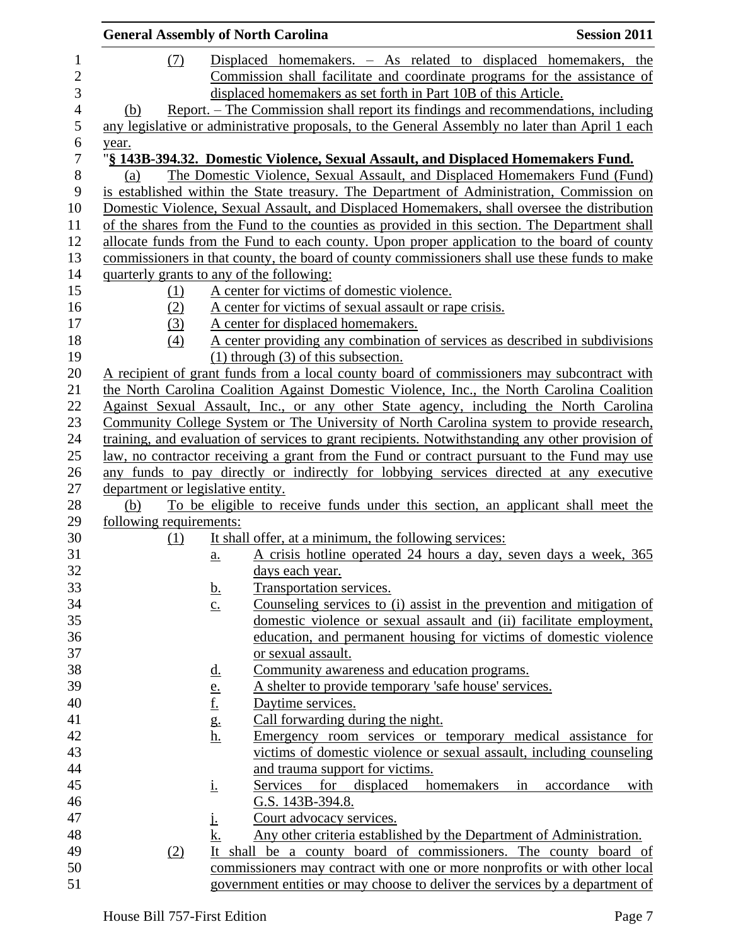|                                   |     |                                                 | <b>General Assembly of North Carolina</b>                      | <b>Session 2011</b>                                                                                |
|-----------------------------------|-----|-------------------------------------------------|----------------------------------------------------------------|----------------------------------------------------------------------------------------------------|
|                                   | (7) |                                                 |                                                                | Displaced homemakers. - As related to displaced homemakers, the                                    |
|                                   |     |                                                 |                                                                | Commission shall facilitate and coordinate programs for the assistance of                          |
|                                   |     |                                                 | displaced homemakers as set forth in Part 10B of this Article. |                                                                                                    |
| (b)                               |     |                                                 |                                                                | Report. – The Commission shall report its findings and recommendations, including                  |
|                                   |     |                                                 |                                                                | any legislative or administrative proposals, to the General Assembly no later than April 1 each    |
|                                   |     |                                                 |                                                                |                                                                                                    |
| year.                             |     |                                                 |                                                                | "§ 143B-394.32. Domestic Violence, Sexual Assault, and Displaced Homemakers Fund.                  |
| (a)                               |     |                                                 |                                                                | The Domestic Violence, Sexual Assault, and Displaced Homemakers Fund (Fund)                        |
|                                   |     |                                                 |                                                                |                                                                                                    |
|                                   |     |                                                 |                                                                | is established within the State treasury. The Department of Administration, Commission on          |
|                                   |     |                                                 |                                                                | Domestic Violence, Sexual Assault, and Displaced Homemakers, shall oversee the distribution        |
|                                   |     |                                                 |                                                                | of the shares from the Fund to the counties as provided in this section. The Department shall      |
|                                   |     |                                                 |                                                                | allocate funds from the Fund to each county. Upon proper application to the board of county        |
|                                   |     |                                                 |                                                                | commissioners in that county, the board of county commissioners shall use these funds to make      |
|                                   |     |                                                 | quarterly grants to any of the following:                      |                                                                                                    |
|                                   | (1) |                                                 | A center for victims of domestic violence.                     |                                                                                                    |
|                                   | (2) |                                                 | A center for victims of sexual assault or rape crisis.         |                                                                                                    |
|                                   | (3) |                                                 | A center for displaced homemakers.                             |                                                                                                    |
|                                   | (4) |                                                 |                                                                | A center providing any combination of services as described in subdivisions                        |
|                                   |     |                                                 | $(1)$ through $(3)$ of this subsection.                        |                                                                                                    |
|                                   |     |                                                 |                                                                | A recipient of grant funds from a local county board of commissioners may subcontract with         |
|                                   |     |                                                 |                                                                | the North Carolina Coalition Against Domestic Violence, Inc., the North Carolina Coalition         |
|                                   |     |                                                 |                                                                | Against Sexual Assault, Inc., or any other State agency, including the North Carolina              |
|                                   |     |                                                 |                                                                | Community College System or The University of North Carolina system to provide research,           |
|                                   |     |                                                 |                                                                | training, and evaluation of services to grant recipients. Notwithstanding any other provision of   |
|                                   |     |                                                 |                                                                | <u>law, no contractor receiving a grant from the Fund or contract pursuant to the Fund may use</u> |
|                                   |     |                                                 |                                                                | any funds to pay directly or indirectly for lobbying services directed at any executive            |
| department or legislative entity. |     |                                                 |                                                                |                                                                                                    |
| (b)                               |     |                                                 |                                                                | To be eligible to receive funds under this section, an applicant shall meet the                    |
| following requirements:           |     |                                                 |                                                                |                                                                                                    |
|                                   | (1) |                                                 | It shall offer, at a minimum, the following services:          |                                                                                                    |
|                                   |     | $\underline{a}$ .                               |                                                                | A crisis hotline operated 24 hours a day, seven days a week, 365                                   |
|                                   |     |                                                 | days each year.                                                |                                                                                                    |
|                                   |     | <u>b.</u>                                       | Transportation services.                                       |                                                                                                    |
|                                   |     | $\underline{c}$ .                               |                                                                | <u>Counseling services to (i) assist in the prevention and mitigation of</u>                       |
|                                   |     |                                                 |                                                                | domestic violence or sexual assault and (ii) facilitate employment,                                |
|                                   |     |                                                 |                                                                | education, and permanent housing for victims of domestic violence                                  |
|                                   |     |                                                 | or sexual assault.                                             |                                                                                                    |
|                                   |     | <u>d.</u>                                       | Community awareness and education programs.                    |                                                                                                    |
|                                   |     |                                                 | A shelter to provide temporary 'safe house' services.          |                                                                                                    |
|                                   |     | $\frac{e}{f}$<br>$\frac{f}{g}$<br>$\frac{g}{h}$ | Daytime services.                                              |                                                                                                    |
|                                   |     |                                                 | Call forwarding during the night.                              |                                                                                                    |
|                                   |     |                                                 |                                                                | Emergency room services or temporary medical assistance for                                        |
|                                   |     |                                                 |                                                                | victims of domestic violence or sexual assault, including counseling                               |
|                                   |     |                                                 | and trauma support for victims.                                |                                                                                                    |
|                                   |     | <u>i.</u>                                       | Services<br>for<br>displaced                                   | homemakers<br>accordance<br>in<br>with                                                             |
|                                   |     |                                                 | G.S. 143B-394.8.                                               |                                                                                                    |
|                                   |     | Ŀ                                               | Court advocacy services.                                       |                                                                                                    |
|                                   |     | k.                                              |                                                                | Any other criteria established by the Department of Administration.                                |
|                                   | (2) |                                                 |                                                                | It shall be a county board of commissioners. The county board of                                   |
|                                   |     |                                                 |                                                                | commissioners may contract with one or more nonprofits or with other local                         |
|                                   |     |                                                 |                                                                |                                                                                                    |
|                                   |     |                                                 |                                                                | government entities or may choose to deliver the services by a department of                       |